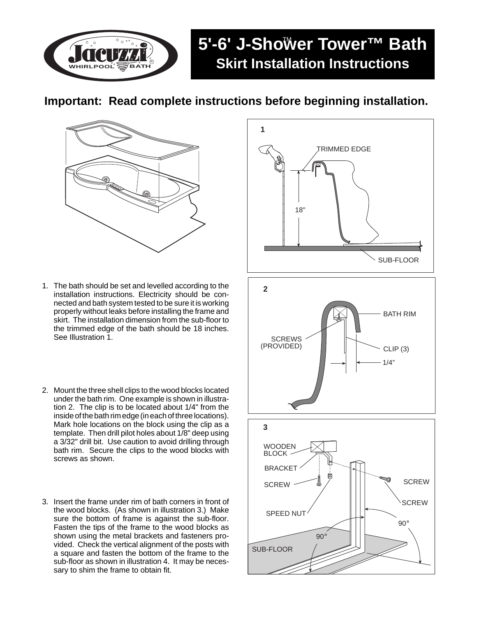**WHIRLPOOL** R

## 5'-6' J-Sho™er Tower™ Bath **Skirt Installation Instructions**

## **Important: Read complete instructions before beginning installation.**



- 1. The bath should be set and levelled according to the installation instructions. Electricity should be connected and bath system tested to be sure it is working properly without leaks before installing the frame and skirt. The installation dimension from the sub-floor to the trimmed edge of the bath should be 18 inches. See Illustration 1.
- 2. Mount the three shell clips to the wood blocks located under the bath rim. One example is shown in illustration 2. The clip is to be located about 1/4" from the inside of the bath rim edge (in each of three locations). Mark hole locations on the block using the clip as a template. Then drill pilot holes about 1/8" deep using a 3/32" drill bit. Use caution to avoid drilling through bath rim. Secure the clips to the wood blocks with screws as shown.
- 3. Insert the frame under rim of bath corners in front of the wood blocks. (As shown in illustration 3.) Make sure the bottom of frame is against the sub-floor. Fasten the tips of the frame to the wood blocks as shown using the metal brackets and fasteners provided. Check the vertical alignment of the posts with a square and fasten the bottom of the frame to the sub-floor as shown in illustration 4. It may be necessary to shim the frame to obtain fit.